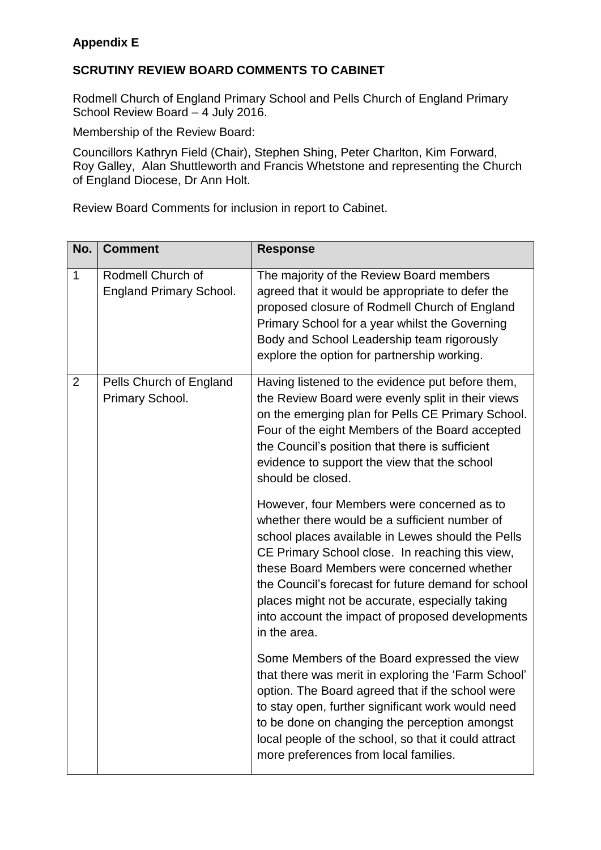## **Appendix E**

## **SCRUTINY REVIEW BOARD COMMENTS TO CABINET**

Rodmell Church of England Primary School and Pells Church of England Primary School Review Board – 4 July 2016.

Membership of the Review Board:

Councillors Kathryn Field (Chair), Stephen Shing, Peter Charlton, Kim Forward, Roy Galley, Alan Shuttleworth and Francis Whetstone and representing the Church of England Diocese, Dr Ann Holt.

Review Board Comments for inclusion in report to Cabinet.

| No.         | <b>Comment</b>                                      | <b>Response</b>                                                                                                                                                                                                                                                                                                                                                                                                                 |
|-------------|-----------------------------------------------------|---------------------------------------------------------------------------------------------------------------------------------------------------------------------------------------------------------------------------------------------------------------------------------------------------------------------------------------------------------------------------------------------------------------------------------|
| $\mathbf 1$ | Rodmell Church of<br><b>England Primary School.</b> | The majority of the Review Board members<br>agreed that it would be appropriate to defer the<br>proposed closure of Rodmell Church of England<br>Primary School for a year whilst the Governing<br>Body and School Leadership team rigorously<br>explore the option for partnership working.                                                                                                                                    |
| 2           | Pells Church of England<br>Primary School.          | Having listened to the evidence put before them,<br>the Review Board were evenly split in their views<br>on the emerging plan for Pells CE Primary School.<br>Four of the eight Members of the Board accepted<br>the Council's position that there is sufficient<br>evidence to support the view that the school<br>should be closed.                                                                                           |
|             |                                                     | However, four Members were concerned as to<br>whether there would be a sufficient number of<br>school places available in Lewes should the Pells<br>CE Primary School close. In reaching this view,<br>these Board Members were concerned whether<br>the Council's forecast for future demand for school<br>places might not be accurate, especially taking<br>into account the impact of proposed developments<br>in the area. |
|             |                                                     | Some Members of the Board expressed the view<br>that there was merit in exploring the 'Farm School'<br>option. The Board agreed that if the school were<br>to stay open, further significant work would need<br>to be done on changing the perception amongst<br>local people of the school, so that it could attract<br>more preferences from local families.                                                                  |